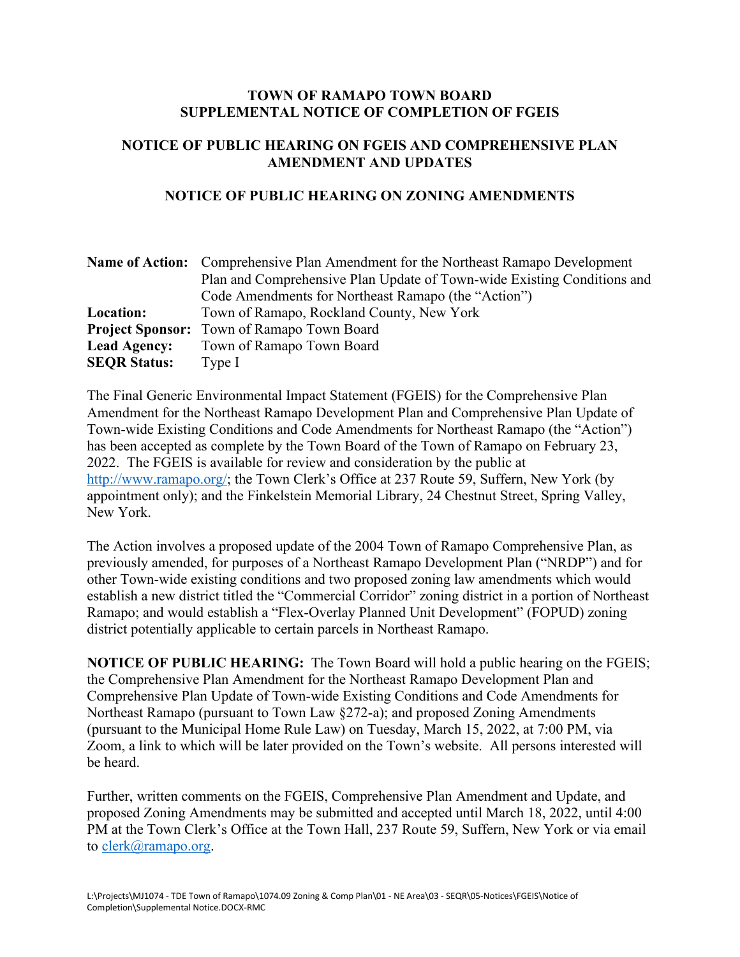## **TOWN OF RAMAPO TOWN BOARD SUPPLEMENTAL NOTICE OF COMPLETION OF FGEIS**

## **NOTICE OF PUBLIC HEARING ON FGEIS AND COMPREHENSIVE PLAN AMENDMENT AND UPDATES**

## **NOTICE OF PUBLIC HEARING ON ZONING AMENDMENTS**

|                     | <b>Name of Action:</b> Comprehensive Plan Amendment for the Northeast Ramapo Development |
|---------------------|------------------------------------------------------------------------------------------|
|                     | Plan and Comprehensive Plan Update of Town-wide Existing Conditions and                  |
|                     | Code Amendments for Northeast Ramapo (the "Action")                                      |
| Location:           | Town of Ramapo, Rockland County, New York                                                |
|                     | <b>Project Sponsor:</b> Town of Ramapo Town Board                                        |
| <b>Lead Agency:</b> | Town of Ramapo Town Board                                                                |
| <b>SEQR Status:</b> | Type $I$                                                                                 |

The Final Generic Environmental Impact Statement (FGEIS) for the Comprehensive Plan Amendment for the Northeast Ramapo Development Plan and Comprehensive Plan Update of Town-wide Existing Conditions and Code Amendments for Northeast Ramapo (the "Action") has been accepted as complete by the Town Board of the Town of Ramapo on February 23, 2022. The FGEIS is available for review and consideration by the public at [http://www.ramapo.org/;](http://www.ramapo.org/) the Town Clerk's Office at 237 Route 59, Suffern, New York (by appointment only); and the Finkelstein Memorial Library, 24 Chestnut Street, Spring Valley, New York.

The Action involves a proposed update of the 2004 Town of Ramapo Comprehensive Plan, as previously amended, for purposes of a Northeast Ramapo Development Plan ("NRDP") and for other Town-wide existing conditions and two proposed zoning law amendments which would establish a new district titled the "Commercial Corridor" zoning district in a portion of Northeast Ramapo; and would establish a "Flex-Overlay Planned Unit Development" (FOPUD) zoning district potentially applicable to certain parcels in Northeast Ramapo.

**NOTICE OF PUBLIC HEARING:** The Town Board will hold a public hearing on the FGEIS; the Comprehensive Plan Amendment for the Northeast Ramapo Development Plan and Comprehensive Plan Update of Town-wide Existing Conditions and Code Amendments for Northeast Ramapo (pursuant to Town Law §272-a); and proposed Zoning Amendments (pursuant to the Municipal Home Rule Law) on Tuesday, March 15, 2022, at 7:00 PM, via Zoom, a link to which will be later provided on the Town's website. All persons interested will be heard.

Further, written comments on the FGEIS, Comprehensive Plan Amendment and Update, and proposed Zoning Amendments may be submitted and accepted until March 18, 2022, until 4:00 PM at the Town Clerk's Office at the Town Hall, 237 Route 59, Suffern, New York or via email to [clerk@ramapo.org.](mailto:clerk@ramapo.org)